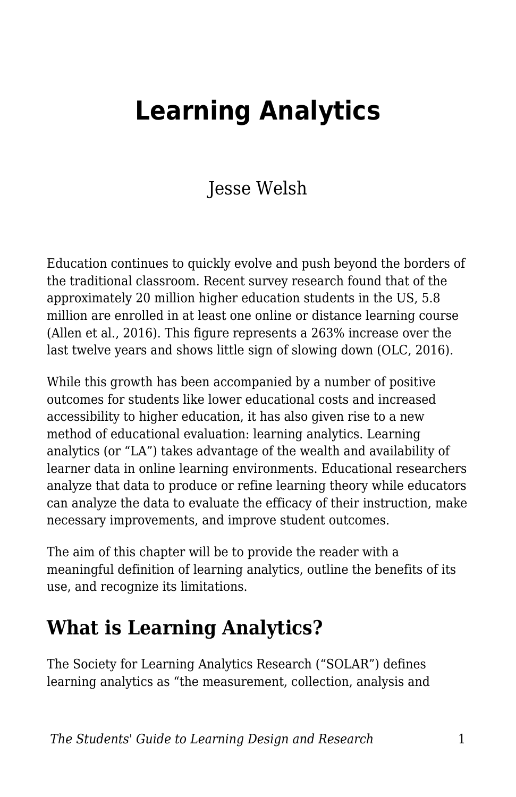# **Learning Analytics**

### Jesse Welsh

Education continues to quickly evolve and push beyond the borders of the traditional classroom. Recent survey research found that of the approximately 20 million higher education students in the US, 5.8 million are enrolled in at least one online or distance learning course (Allen et al., 2016). This figure represents a 263% increase over the last twelve years and shows little sign of slowing down (OLC, 2016).

While this growth has been accompanied by a number of positive outcomes for students like lower educational costs and increased accessibility to higher education, it has also given rise to a new method of educational evaluation: learning analytics. Learning analytics (or "LA") takes advantage of the wealth and availability of learner data in online learning environments. Educational researchers analyze that data to produce or refine learning theory while educators can analyze the data to evaluate the efficacy of their instruction, make necessary improvements, and improve student outcomes.

The aim of this chapter will be to provide the reader with a meaningful definition of learning analytics, outline the benefits of its use, and recognize its limitations.

### **What is Learning Analytics?**

The Society for Learning Analytics Research ("SOLAR") defines learning analytics as "the measurement, collection, analysis and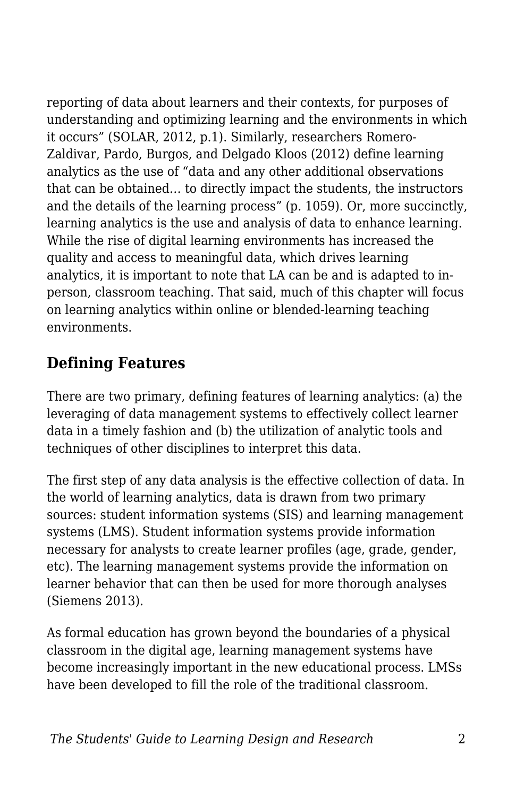reporting of data about learners and their contexts, for purposes of understanding and optimizing learning and the environments in which it occurs" (SOLAR, 2012, p.1). Similarly, researchers Romero-Zaldivar, Pardo, Burgos, and Delgado Kloos (2012) define learning analytics as the use of "data and any other additional observations that can be obtained… to directly impact the students, the instructors and the details of the learning process" (p. 1059). Or, more succinctly, learning analytics is the use and analysis of data to enhance learning. While the rise of digital learning environments has increased the quality and access to meaningful data, which drives learning analytics, it is important to note that LA can be and is adapted to inperson, classroom teaching. That said, much of this chapter will focus on learning analytics within online or blended-learning teaching environments.

#### **Defining Features**

There are two primary, defining features of learning analytics: (a) the leveraging of data management systems to effectively collect learner data in a timely fashion and (b) the utilization of analytic tools and techniques of other disciplines to interpret this data.

The first step of any data analysis is the effective collection of data. In the world of learning analytics, data is drawn from two primary sources: student information systems (SIS) and learning management systems (LMS). Student information systems provide information necessary for analysts to create learner profiles (age, grade, gender, etc). The learning management systems provide the information on learner behavior that can then be used for more thorough analyses (Siemens 2013).

As formal education has grown beyond the boundaries of a physical classroom in the digital age, learning management systems have become increasingly important in the new educational process. LMSs have been developed to fill the role of the traditional classroom.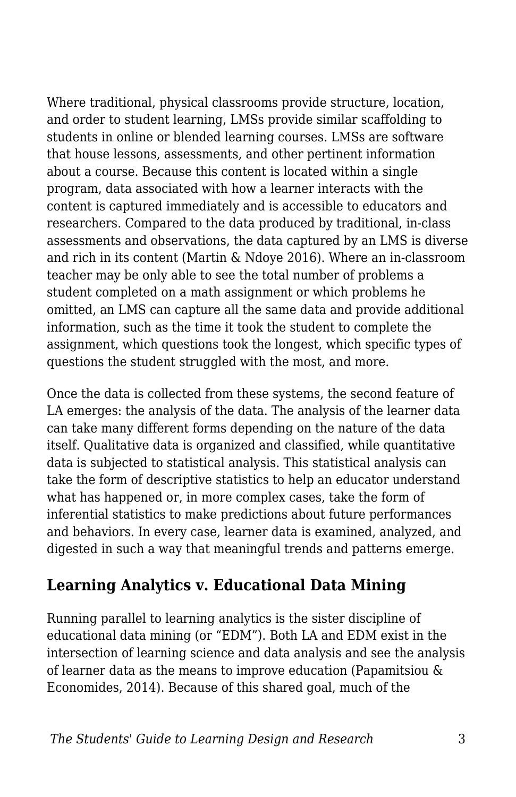Where traditional, physical classrooms provide structure, location, and order to student learning, LMSs provide similar scaffolding to students in online or blended learning courses. LMSs are software that house lessons, assessments, and other pertinent information about a course. Because this content is located within a single program, data associated with how a learner interacts with the content is captured immediately and is accessible to educators and researchers. Compared to the data produced by traditional, in-class assessments and observations, the data captured by an LMS is diverse and rich in its content (Martin & Ndoye 2016). Where an in-classroom teacher may be only able to see the total number of problems a student completed on a math assignment or which problems he omitted, an LMS can capture all the same data and provide additional information, such as the time it took the student to complete the assignment, which questions took the longest, which specific types of questions the student struggled with the most, and more.

Once the data is collected from these systems, the second feature of LA emerges: the analysis of the data. The analysis of the learner data can take many different forms depending on the nature of the data itself. Qualitative data is organized and classified, while quantitative data is subjected to statistical analysis. This statistical analysis can take the form of descriptive statistics to help an educator understand what has happened or, in more complex cases, take the form of inferential statistics to make predictions about future performances and behaviors. In every case, learner data is examined, analyzed, and digested in such a way that meaningful trends and patterns emerge.

#### **Learning Analytics v. Educational Data Mining**

Running parallel to learning analytics is the sister discipline of educational data mining (or "EDM"). Both LA and EDM exist in the intersection of learning science and data analysis and see the analysis of learner data as the means to improve education (Papamitsiou & Economides, 2014). Because of this shared goal, much of the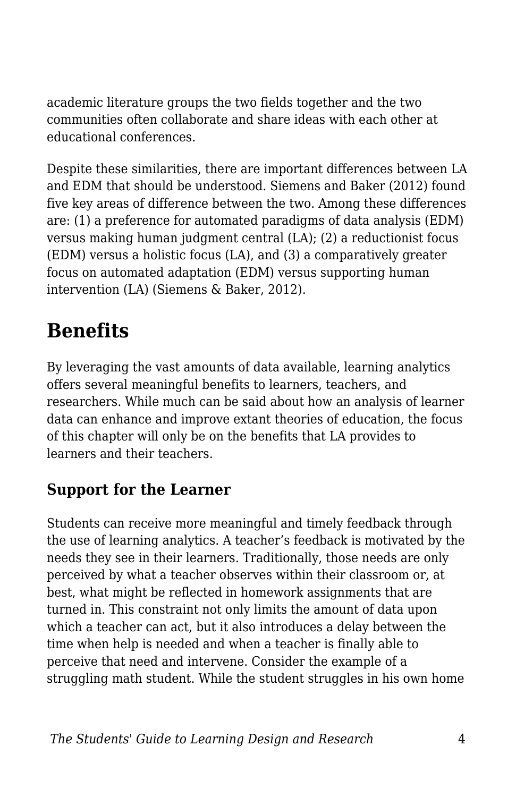academic literature groups the two fields together and the two communities often collaborate and share ideas with each other at educational conferences.

Despite these similarities, there are important differences between LA and EDM that should be understood. Siemens and Baker (2012) found five key areas of difference between the two. Among these differences are: (1) a preference for automated paradigms of data analysis (EDM) versus making human judgment central (LA); (2) a reductionist focus (EDM) versus a holistic focus (LA), and (3) a comparatively greater focus on automated adaptation (EDM) versus supporting human intervention (LA) (Siemens & Baker, 2012).

## **Benefits**

By leveraging the vast amounts of data available, learning analytics offers several meaningful benefits to learners, teachers, and researchers. While much can be said about how an analysis of learner data can enhance and improve extant theories of education, the focus of this chapter will only be on the benefits that LA provides to learners and their teachers.

#### **Support for the Learner**

Students can receive more meaningful and timely feedback through the use of learning analytics. A teacher's feedback is motivated by the needs they see in their learners. Traditionally, those needs are only perceived by what a teacher observes within their classroom or, at best, what might be reflected in homework assignments that are turned in. This constraint not only limits the amount of data upon which a teacher can act, but it also introduces a delay between the time when help is needed and when a teacher is finally able to perceive that need and intervene. Consider the example of a struggling math student. While the student struggles in his own home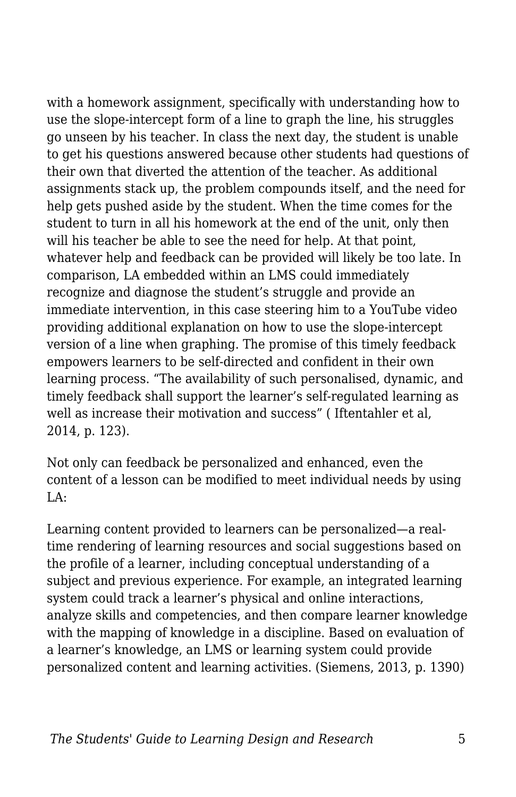with a homework assignment, specifically with understanding how to use the slope-intercept form of a line to graph the line, his struggles go unseen by his teacher. In class the next day, the student is unable to get his questions answered because other students had questions of their own that diverted the attention of the teacher. As additional assignments stack up, the problem compounds itself, and the need for help gets pushed aside by the student. When the time comes for the student to turn in all his homework at the end of the unit, only then will his teacher be able to see the need for help. At that point, whatever help and feedback can be provided will likely be too late. In comparison, LA embedded within an LMS could immediately recognize and diagnose the student's struggle and provide an immediate intervention, in this case steering him to a YouTube video providing additional explanation on how to use the slope-intercept version of a line when graphing. The promise of this timely feedback empowers learners to be self-directed and confident in their own learning process. "The availability of such personalised, dynamic, and timely feedback shall support the learner's self-regulated learning as well as increase their motivation and success" ( Iftentahler et al, 2014, p. 123).

Not only can feedback be personalized and enhanced, even the content of a lesson can be modified to meet individual needs by using  $I.A.$ 

Learning content provided to learners can be personalized—a realtime rendering of learning resources and social suggestions based on the profile of a learner, including conceptual understanding of a subject and previous experience. For example, an integrated learning system could track a learner's physical and online interactions, analyze skills and competencies, and then compare learner knowledge with the mapping of knowledge in a discipline. Based on evaluation of a learner's knowledge, an LMS or learning system could provide personalized content and learning activities. (Siemens, 2013, p. 1390)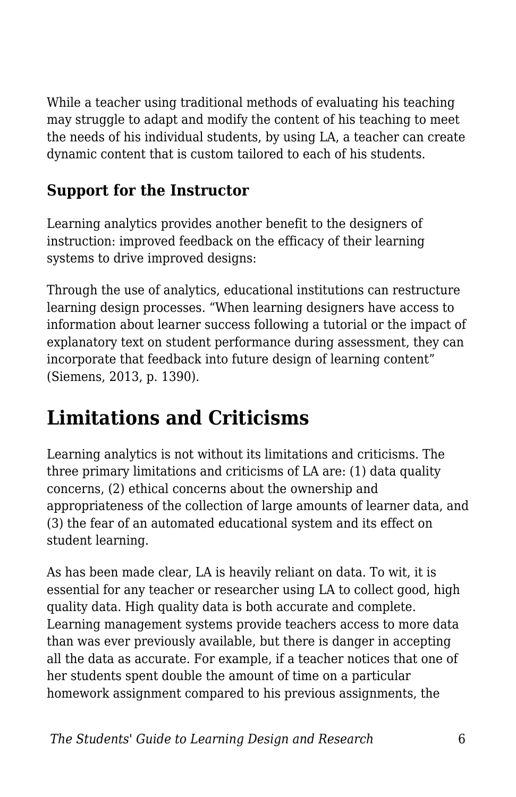While a teacher using traditional methods of evaluating his teaching may struggle to adapt and modify the content of his teaching to meet the needs of his individual students, by using LA, a teacher can create dynamic content that is custom tailored to each of his students.

#### **Support for the Instructor**

Learning analytics provides another benefit to the designers of instruction: improved feedback on the efficacy of their learning systems to drive improved designs:

Through the use of analytics, educational institutions can restructure learning design processes. "When learning designers have access to information about learner success following a tutorial or the impact of explanatory text on student performance during assessment, they can incorporate that feedback into future design of learning content" (Siemens, 2013, p. 1390).

## **Limitations and Criticisms**

Learning analytics is not without its limitations and criticisms. The three primary limitations and criticisms of LA are: (1) data quality concerns, (2) ethical concerns about the ownership and appropriateness of the collection of large amounts of learner data, and (3) the fear of an automated educational system and its effect on student learning.

As has been made clear, LA is heavily reliant on data. To wit, it is essential for any teacher or researcher using LA to collect good, high quality data. High quality data is both accurate and complete. Learning management systems provide teachers access to more data than was ever previously available, but there is danger in accepting all the data as accurate. For example, if a teacher notices that one of her students spent double the amount of time on a particular homework assignment compared to his previous assignments, the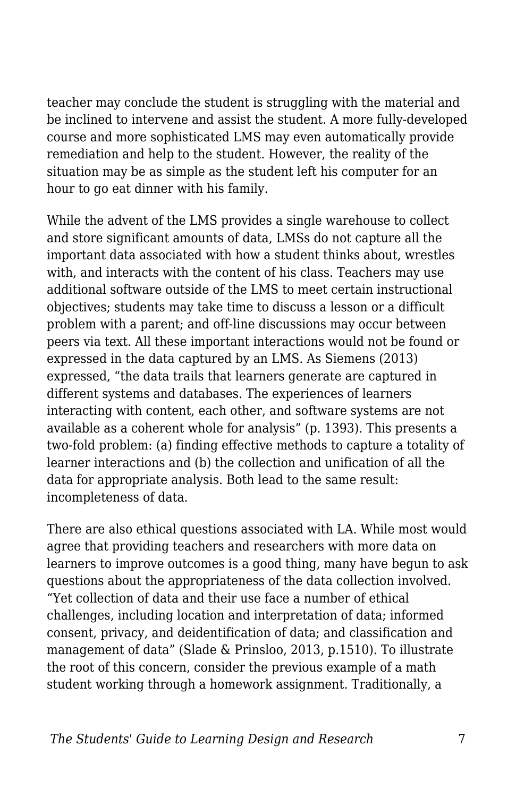teacher may conclude the student is struggling with the material and be inclined to intervene and assist the student. A more fully-developed course and more sophisticated LMS may even automatically provide remediation and help to the student. However, the reality of the situation may be as simple as the student left his computer for an hour to go eat dinner with his family.

While the advent of the LMS provides a single warehouse to collect and store significant amounts of data, LMSs do not capture all the important data associated with how a student thinks about, wrestles with, and interacts with the content of his class. Teachers may use additional software outside of the LMS to meet certain instructional objectives; students may take time to discuss a lesson or a difficult problem with a parent; and off-line discussions may occur between peers via text. All these important interactions would not be found or expressed in the data captured by an LMS. As Siemens (2013) expressed, "the data trails that learners generate are captured in different systems and databases. The experiences of learners interacting with content, each other, and software systems are not available as a coherent whole for analysis" (p. 1393). This presents a two-fold problem: (a) finding effective methods to capture a totality of learner interactions and (b) the collection and unification of all the data for appropriate analysis. Both lead to the same result: incompleteness of data.

There are also ethical questions associated with LA. While most would agree that providing teachers and researchers with more data on learners to improve outcomes is a good thing, many have begun to ask questions about the appropriateness of the data collection involved. "Yet collection of data and their use face a number of ethical challenges, including location and interpretation of data; informed consent, privacy, and deidentification of data; and classification and management of data" (Slade & Prinsloo, 2013, p.1510). To illustrate the root of this concern, consider the previous example of a math student working through a homework assignment. Traditionally, a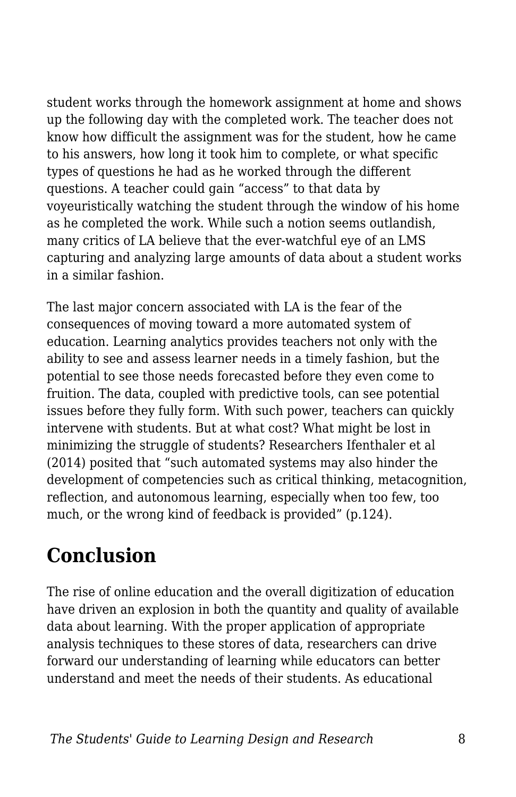student works through the homework assignment at home and shows up the following day with the completed work. The teacher does not know how difficult the assignment was for the student, how he came to his answers, how long it took him to complete, or what specific types of questions he had as he worked through the different questions. A teacher could gain "access" to that data by voyeuristically watching the student through the window of his home as he completed the work. While such a notion seems outlandish, many critics of LA believe that the ever-watchful eye of an LMS capturing and analyzing large amounts of data about a student works in a similar fashion.

The last major concern associated with LA is the fear of the consequences of moving toward a more automated system of education. Learning analytics provides teachers not only with the ability to see and assess learner needs in a timely fashion, but the potential to see those needs forecasted before they even come to fruition. The data, coupled with predictive tools, can see potential issues before they fully form. With such power, teachers can quickly intervene with students. But at what cost? What might be lost in minimizing the struggle of students? Researchers Ifenthaler et al (2014) posited that "such automated systems may also hinder the development of competencies such as critical thinking, metacognition, reflection, and autonomous learning, especially when too few, too much, or the wrong kind of feedback is provided" (p.124).

## **Conclusion**

The rise of online education and the overall digitization of education have driven an explosion in both the quantity and quality of available data about learning. With the proper application of appropriate analysis techniques to these stores of data, researchers can drive forward our understanding of learning while educators can better understand and meet the needs of their students. As educational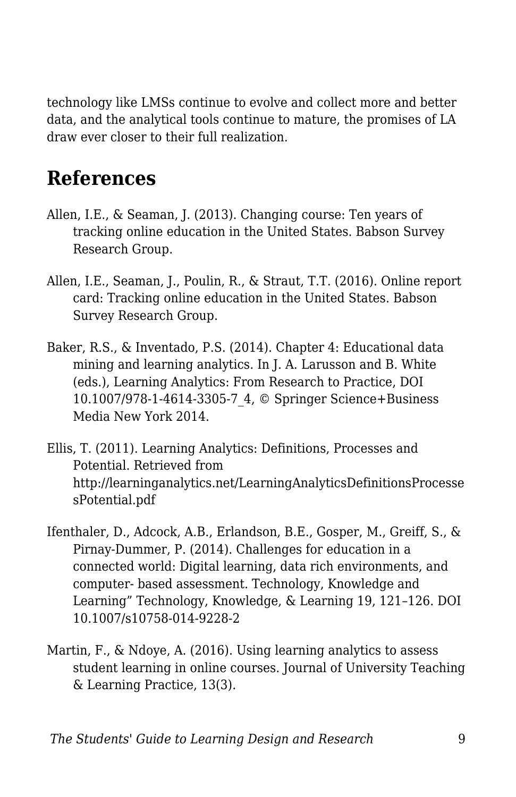technology like LMSs continue to evolve and collect more and better data, and the analytical tools continue to mature, the promises of LA draw ever closer to their full realization.

### **References**

- Allen, I.E., & Seaman, J. (2013). Changing course: Ten years of tracking online education in the United States. Babson Survey Research Group.
- Allen, I.E., Seaman, J., Poulin, R., & Straut, T.T. (2016). Online report card: Tracking online education in the United States. Babson Survey Research Group.
- Baker, R.S., & Inventado, P.S. (2014). Chapter 4: Educational data mining and learning analytics. In J. A. Larusson and B. White (eds.), Learning Analytics: From Research to Practice, DOI 10.1007/978-1-4614-3305-7\_4, © Springer Science+Business Media New York 2014.
- Ellis, T. (2011). Learning Analytics: Definitions, Processes and Potential. Retrieved from http://learninganalytics.net/LearningAnalyticsDefinitionsProcesse sPotential.pdf
- Ifenthaler, D., Adcock, A.B., Erlandson, B.E., Gosper, M., Greiff, S., & Pirnay-Dummer, P. (2014). Challenges for education in a connected world: Digital learning, data rich environments, and computer- based assessment. Technology, Knowledge and Learning" Technology, Knowledge, & Learning 19, 121–126. DOI 10.1007/s10758-014-9228-2
- Martin, F., & Ndoye, A. (2016). Using learning analytics to assess student learning in online courses. Journal of University Teaching & Learning Practice, 13(3).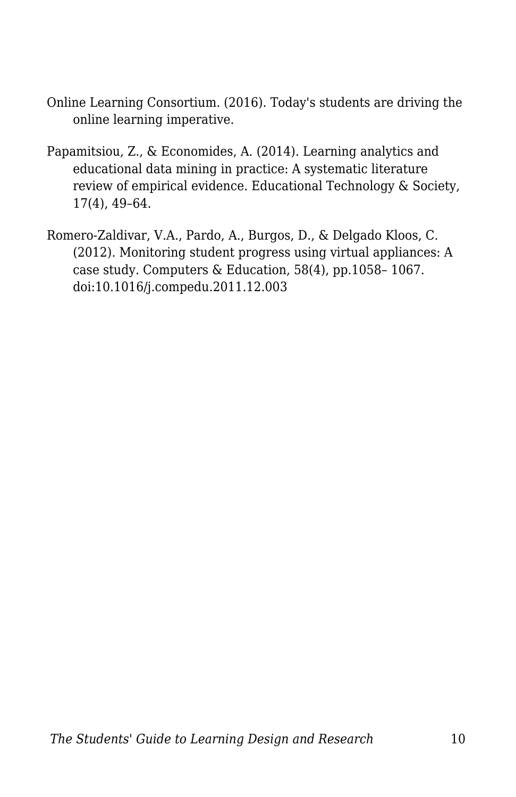- Online Learning Consortium. (2016). Today's students are driving the online learning imperative.
- Papamitsiou, Z., & Economides, A. (2014). Learning analytics and educational data mining in practice: A systematic literature review of empirical evidence. Educational Technology & Society, 17(4), 49–64.
- Romero-Zaldivar, V.A., Pardo, A., Burgos, D., & Delgado Kloos, C. (2012). Monitoring student progress using virtual appliances: A case study. Computers & Education, 58(4), pp.1058– 1067. doi:10.1016/j.compedu.2011.12.003